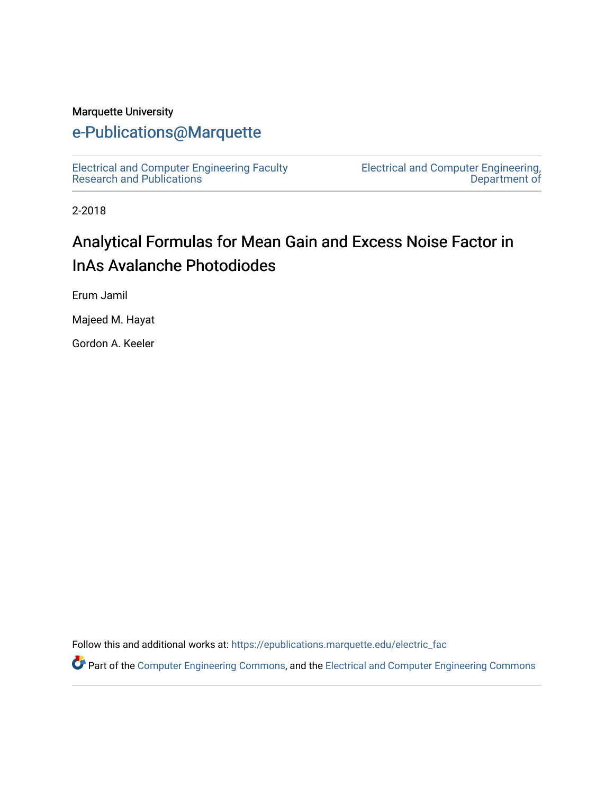#### Marquette University

## [e-Publications@Marquette](https://epublications.marquette.edu/)

[Electrical and Computer Engineering Faculty](https://epublications.marquette.edu/electric_fac) [Research and Publications](https://epublications.marquette.edu/electric_fac) 

[Electrical and Computer Engineering,](https://epublications.marquette.edu/electric)  [Department of](https://epublications.marquette.edu/electric) 

2-2018

# Analytical Formulas for Mean Gain and Excess Noise Factor in InAs Avalanche Photodiodes

Erum Jamil

Majeed M. Hayat

Gordon A. Keeler

Follow this and additional works at: [https://epublications.marquette.edu/electric\\_fac](https://epublications.marquette.edu/electric_fac?utm_source=epublications.marquette.edu%2Felectric_fac%2F551&utm_medium=PDF&utm_campaign=PDFCoverPages) 

Part of the [Computer Engineering Commons,](http://network.bepress.com/hgg/discipline/258?utm_source=epublications.marquette.edu%2Felectric_fac%2F551&utm_medium=PDF&utm_campaign=PDFCoverPages) and the [Electrical and Computer Engineering Commons](http://network.bepress.com/hgg/discipline/266?utm_source=epublications.marquette.edu%2Felectric_fac%2F551&utm_medium=PDF&utm_campaign=PDFCoverPages)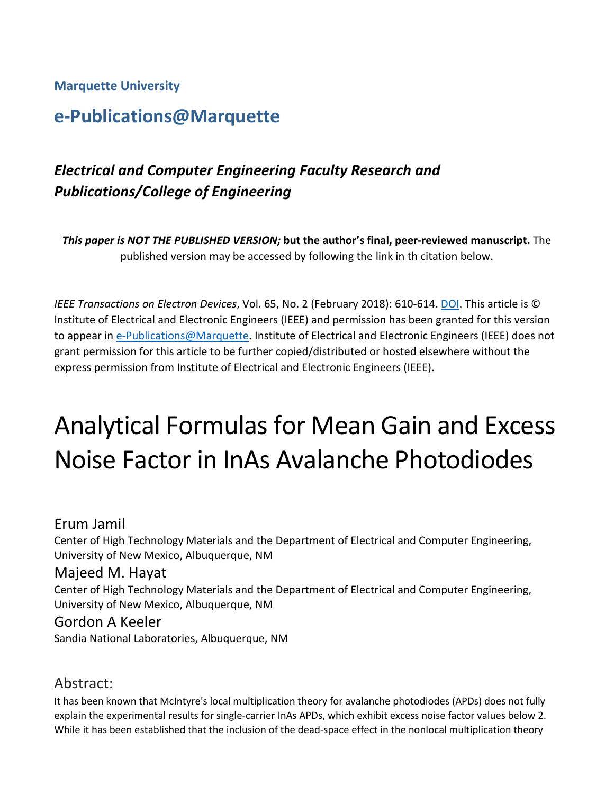#### **Marquette University**

# **e-Publications@Marquette**

## *Electrical and Computer Engineering Faculty Research and Publications/College of Engineering*

*This paper is NOT THE PUBLISHED VERSION;* **but the author's final, peer-reviewed manuscript.** The published version may be accessed by following the link in th citation below.

*IEEE Transactions on Electron Devices*, Vol. 65, No. 2 (February 2018): 610-614[. DOI.](https://doi.org/10.1109/TED.2017.2786080) This article is © Institute of Electrical and Electronic Engineers (IEEE) and permission has been granted for this version to appear in [e-Publications@Marquette.](http://epublications.marquette.edu/) Institute of Electrical and Electronic Engineers (IEEE) does not grant permission for this article to be further copied/distributed or hosted elsewhere without the express permission from Institute of Electrical and Electronic Engineers (IEEE).

# Analytical Formulas for Mean Gain and Excess Noise Factor in InAs Avalanche Photodiodes

#### Erum Jamil

Center of High Technology Materials and the Department of Electrical and Computer Engineering, University of New Mexico, Albuquerque, NM

#### Majeed M. Hayat

Center of High Technology Materials and the Department of Electrical and Computer Engineering, University of New Mexico, Albuquerque, NM

#### Gordon A Keeler

Sandia National Laboratories, Albuquerque, NM

#### Abstract:

It has been known that McIntyre's local multiplication theory for avalanche photodiodes (APDs) does not fully explain the experimental results for single-carrier InAs APDs, which exhibit excess noise factor values below 2. While it has been established that the inclusion of the dead-space effect in the nonlocal multiplication theory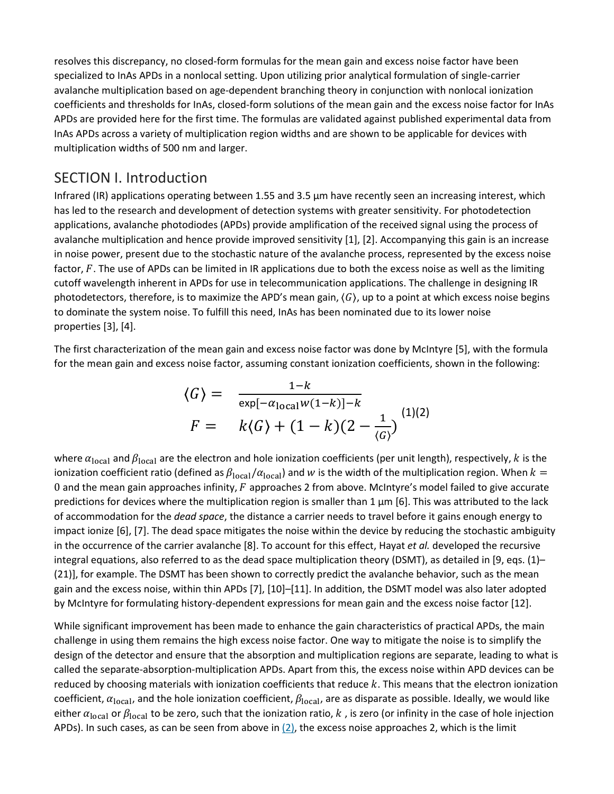resolves this discrepancy, no closed-form formulas for the mean gain and excess noise factor have been specialized to InAs APDs in a nonlocal setting. Upon utilizing prior analytical formulation of single-carrier avalanche multiplication based on age-dependent branching theory in conjunction with nonlocal ionization coefficients and thresholds for InAs, closed-form solutions of the mean gain and the excess noise factor for InAs APDs are provided here for the first time. The formulas are validated against published experimental data from InAs APDs across a variety of multiplication region widths and are shown to be applicable for devices with multiplication widths of 500 nm and larger.

#### SECTION I. Introduction

Infrared (IR) applications operating between 1.55 and 3.5 μm have recently seen an increasing interest, which has led to the research and development of detection systems with greater sensitivity. For photodetection applications, avalanche photodiodes (APDs) provide amplification of the received signal using the process of avalanche multiplication and hence provide improved sensitivity [1], [2]. Accompanying this gain is an increase in noise power, present due to the stochastic nature of the avalanche process, represented by the excess noise factor,  $F$ . The use of APDs can be limited in IR applications due to both the excess noise as well as the limiting cutoff wavelength inherent in APDs for use in telecommunication applications. The challenge in designing IR photodetectors, therefore, is to maximize the APD's mean gain,  $\langle G \rangle$ , up to a point at which excess noise begins to dominate the system noise. To fulfill this need, InAs has been nominated due to its lower noise properties [3], [4].

The first characterization of the mean gain and excess noise factor was done by McIntyre [5], with the formula for the mean gain and excess noise factor, assuming constant ionization coefficients, shown in the following:

$$
\langle G \rangle = \frac{1-k}{\exp[-\alpha_{\text{local}}w(1-k)] - k}
$$
  

$$
F = k\langle G \rangle + (1-k)(2 - \frac{1}{\langle G \rangle})^{(1)(2)}
$$

where  $\alpha_{\text{local}}$  and  $\beta_{\text{local}}$  are the electron and hole ionization coefficients (per unit length), respectively, k is the ionization coefficient ratio (defined as  $\beta_{local}/\alpha_{local}$ ) and w is the width of the multiplication region. When  $k =$ 0 and the mean gain approaches infinity,  $F$  approaches 2 from above. McIntyre's model failed to give accurate predictions for devices where the multiplication region is smaller than 1  $\mu$ m [6]. This was attributed to the lack of accommodation for the *dead space*, the distance a carrier needs to travel before it gains enough energy to impact ionize [6], [7]. The dead space mitigates the noise within the device by reducing the stochastic ambiguity in the occurrence of the carrier avalanche [8]. To account for this effect, Hayat *et al.* developed the recursive integral equations, also referred to as the dead space multiplication theory (DSMT), as detailed in [9, eqs. (1)– (21)], for example. The DSMT has been shown to correctly predict the avalanche behavior, such as the mean gain and the excess noise, within thin APDs [7], [10]–[11]. In addition, the DSMT model was also later adopted by McIntyre for formulating history-dependent expressions for mean gain and the excess noise factor [12].

While significant improvement has been made to enhance the gain characteristics of practical APDs, the main challenge in using them remains the high excess noise factor. One way to mitigate the noise is to simplify the design of the detector and ensure that the absorption and multiplication regions are separate, leading to what is called the separate-absorption-multiplication APDs. Apart from this, the excess noise within APD devices can be reduced by choosing materials with ionization coefficients that reduce  $k$ . This means that the electron ionization coefficient,  $\alpha_{local}$ , and the hole ionization coefficient,  $\beta_{local}$ , are as disparate as possible. Ideally, we would like either  $\alpha_{local}$  or  $\beta_{local}$  to be zero, such that the ionization ratio, k, is zero (or infinity in the case of hole injection APDs). In such cases, as can be seen from above in  $(2)$ , the excess noise approaches 2, which is the limit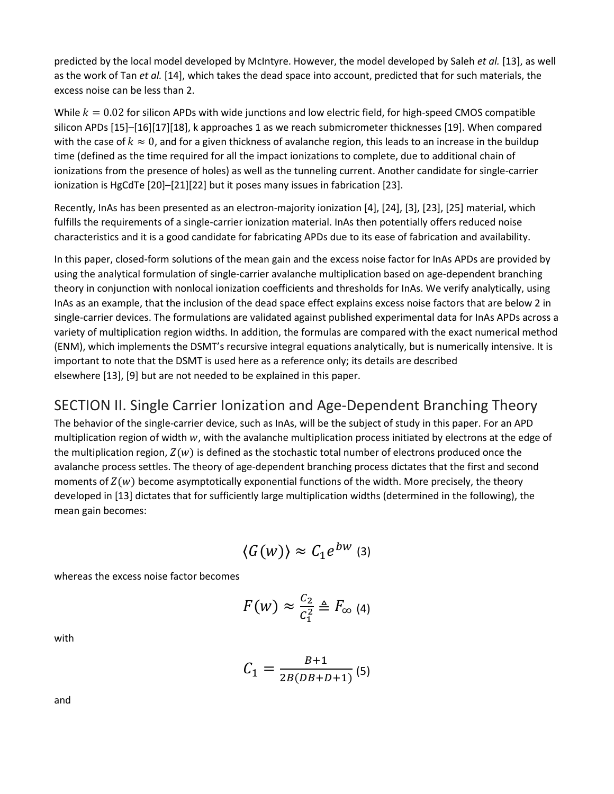predicted by the local model developed by McIntyre. However, the model developed by Saleh *et al.* [13], as well as the work of Tan *et al.* [14], which takes the dead space into account, predicted that for such materials, the excess noise can be less than 2.

While  $k = 0.02$  for silicon APDs with wide junctions and low electric field, for high-speed CMOS compatible silicon APDs [15]–[16][17][18], k approaches 1 as we reach submicrometer thicknesses [19]. When compared with the case of  $k \approx 0$ , and for a given thickness of avalanche region, this leads to an increase in the buildup time (defined as the time required for all the impact ionizations to complete, due to additional chain of ionizations from the presence of holes) as well as the tunneling current. Another candidate for single-carrier ionization is HgCdTe [20]–[21][22] but it poses many issues in fabrication [23].

Recently, InAs has been presented as an electron-majority ionization [4], [24], [3], [23], [25] material, which fulfills the requirements of a single-carrier ionization material. InAs then potentially offers reduced noise characteristics and it is a good candidate for fabricating APDs due to its ease of fabrication and availability.

In this paper, closed-form solutions of the mean gain and the excess noise factor for InAs APDs are provided by using the analytical formulation of single-carrier avalanche multiplication based on age-dependent branching theory in conjunction with nonlocal ionization coefficients and thresholds for InAs. We verify analytically, using InAs as an example, that the inclusion of the dead space effect explains excess noise factors that are below 2 in single-carrier devices. The formulations are validated against published experimental data for InAs APDs across a variety of multiplication region widths. In addition, the formulas are compared with the exact numerical method (ENM), which implements the DSMT's recursive integral equations analytically, but is numerically intensive. It is important to note that the DSMT is used here as a reference only; its details are described elsewhere [13], [9] but are not needed to be explained in this paper.

## SECTION II. Single Carrier Ionization and Age-Dependent Branching Theory

The behavior of the single-carrier device, such as InAs, will be the subject of study in this paper. For an APD multiplication region of width  $w$ , with the avalanche multiplication process initiated by electrons at the edge of the multiplication region,  $Z(w)$  is defined as the stochastic total number of electrons produced once the avalanche process settles. The theory of age-dependent branching process dictates that the first and second moments of  $Z(w)$  become asymptotically exponential functions of the width. More precisely, the theory developed in [13] dictates that for sufficiently large multiplication widths (determined in the following), the mean gain becomes:

$$
\langle G(w)\rangle\approx \mathcal{C}_1e^{bw}\text{ (3)}
$$

whereas the excess noise factor becomes

$$
F(w) \approx \frac{C_2}{C_1^2} \triangleq F_{\infty}
$$
 (4)

with

$$
C_1 = \frac{B+1}{2B(DB+D+1)}
$$
 (5)

and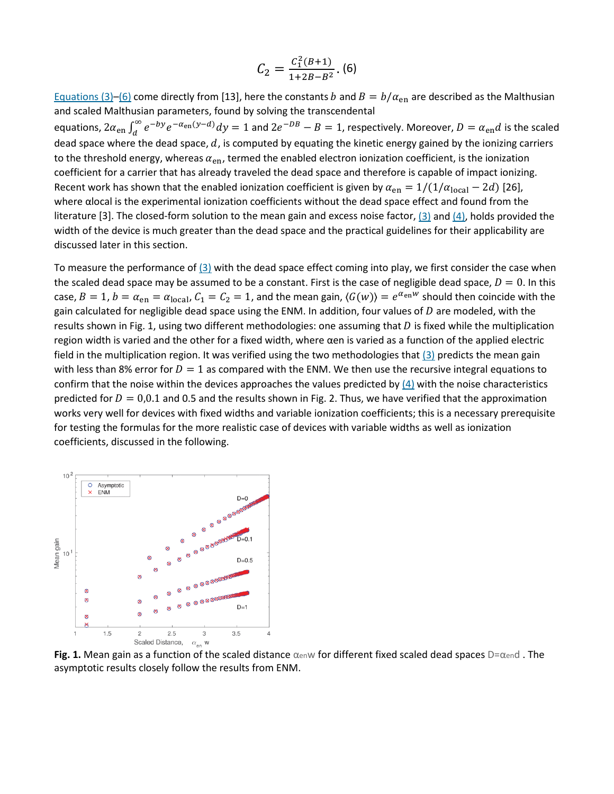$$
C_2 = \frac{C_1^2(B+1)}{1+2B-B^2}.\ (6)
$$

[Equations \(3\)](https://ieeexplore.ieee.org/document/#deqn3)[–\(6\)](https://ieeexplore.ieee.org/document/#deqn6) come directly from [13], here the constants b and  $B = b/\alpha_{\rm en}$  are described as the Malthusian and scaled Malthusian parameters, found by solving the transcendental equations,  $2\alpha_{en}\int_{d}^{\infty}e^{-by}e^{-\alpha_{en}(y-d)}dy=1$  and  $2e^{-DB}-B=1$ , respectively. Moreover,  $D=\alpha_{en}d$  is the scaled dead space where the dead space,  $d$ , is computed by equating the kinetic energy gained by the ionizing carriers to the threshold energy, whereas  $\alpha_{en}$ , termed the enabled electron ionization coefficient, is the ionization coefficient for a carrier that has already traveled the dead space and therefore is capable of impact ionizing. Recent work has shown that the enabled ionization coefficient is given by  $\alpha_{en} = 1/(1/\alpha_{local} - 2d)$  [26], where αlocal is the experimental ionization coefficients without the dead space effect and found from the literature [3]. The closed-form solution to the mean gain and excess noise factor, [\(3\)](https://ieeexplore.ieee.org/document/#deqn3) and [\(4\),](https://ieeexplore.ieee.org/document/#deqn4) holds provided the width of the device is much greater than the dead space and the practical guidelines for their applicability are discussed later in this section.

To measure the performance of  $(3)$  with the dead space effect coming into play, we first consider the case when the scaled dead space may be assumed to be a constant. First is the case of negligible dead space,  $D = 0$ . In this case,  $B = 1$ ,  $b = \alpha_{en} = \alpha_{local}$ ,  $C_1 = C_2 = 1$ , and the mean gain,  $\langle G(w) \rangle = e^{\alpha_{en}w}$  should then coincide with the gain calculated for negligible dead space using the ENM. In addition, four values of  $D$  are modeled, with the results shown in Fig. 1, using two different methodologies: one assuming that  $D$  is fixed while the multiplication region width is varied and the other for a fixed width, where αen is varied as a function of the applied electric field in the multiplication region. It was verified using the two methodologies that [\(3\)](https://ieeexplore.ieee.org/document/#deqn3) predicts the mean gain with less than 8% error for  $D = 1$  as compared with the ENM. We then use the recursive integral equations to confirm that the noise within the devices approaches the values predicted by [\(4\)](https://ieeexplore.ieee.org/document/#deqn4) with the noise characteristics predicted for  $D = 0.0.1$  and 0.5 and the results shown in Fig. 2. Thus, we have verified that the approximation works very well for devices with fixed widths and variable ionization coefficients; this is a necessary prerequisite for testing the formulas for the more realistic case of devices with variable widths as well as ionization coefficients, discussed in the following.



**Fig. 1.** Mean gain as a function of the scaled distance αenw for different fixed scaled dead spaces D=αend. The asymptotic results closely follow the results from ENM.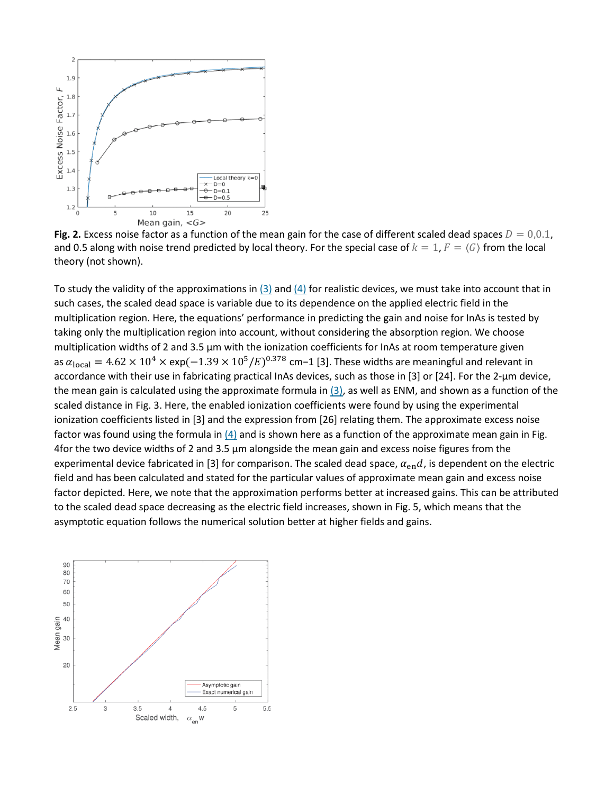

**Fig. 2.** Excess noise factor as a function of the mean gain for the case of different scaled dead spaces  $D = 0.0.1$ , and 0.5 along with noise trend predicted by local theory. For the special case of  $k = 1$ ,  $F = \langle G \rangle$  from the local theory (not shown).

To study the validity of the approximations in [\(3\)](https://ieeexplore.ieee.org/document/#deqn3) and [\(4\)](https://ieeexplore.ieee.org/document/#deqn4) for realistic devices, we must take into account that in such cases, the scaled dead space is variable due to its dependence on the applied electric field in the multiplication region. Here, the equations' performance in predicting the gain and noise for InAs is tested by taking only the multiplication region into account, without considering the absorption region. We choose multiplication widths of 2 and 3.5 μm with the ionization coefficients for InAs at room temperature given as  $\alpha_{\text{local}} = 4.62 \times 10^4 \times \text{exp}(-1.39 \times 10^5/E)^{0.378}$  cm−1 [3]. These widths are meaningful and relevant in accordance with their use in fabricating practical InAs devices, such as those in [3] or [24]. For the 2-μm device, the mean gain is calculated using the approximate formula in [\(3\),](https://ieeexplore.ieee.org/document/#deqn3) as well as ENM, and shown as a function of the scaled distance in Fig. 3. Here, the enabled ionization coefficients were found by using the experimental ionization coefficients listed in [3] and the expression from [26] relating them. The approximate excess noise factor was found using the formula in  $(4)$  and is shown here as a function of the approximate mean gain in Fig. 4for the two device widths of 2 and 3.5 μm alongside the mean gain and excess noise figures from the experimental device fabricated in [3] for comparison. The scaled dead space,  $\alpha_{en}d$ , is dependent on the electric field and has been calculated and stated for the particular values of approximate mean gain and excess noise factor depicted. Here, we note that the approximation performs better at increased gains. This can be attributed to the scaled dead space decreasing as the electric field increases, shown in Fig. 5, which means that the asymptotic equation follows the numerical solution better at higher fields and gains.

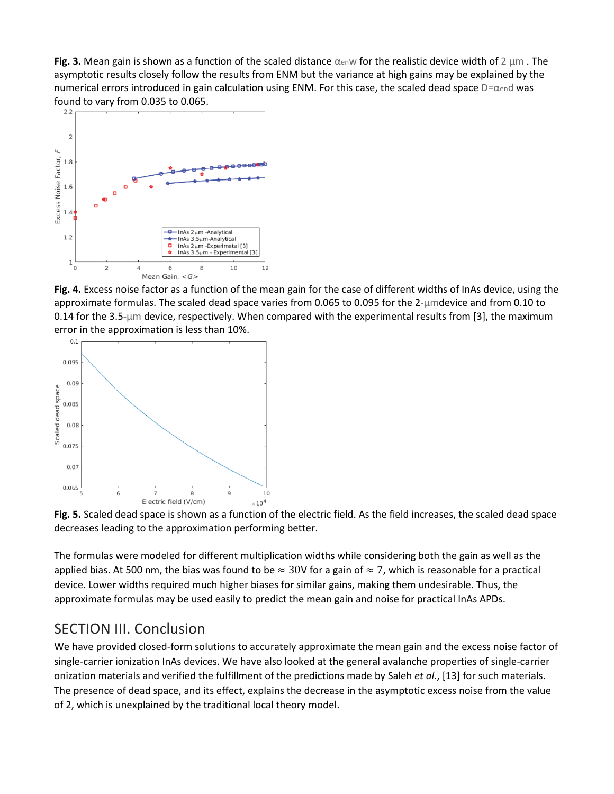**Fig. 3.** Mean gain is shown as a function of the scaled distance αenw for the realistic device width of 2 μm . The asymptotic results closely follow the results from ENM but the variance at high gains may be explained by the numerical errors introduced in gain calculation using ENM. For this case, the scaled dead space D=αend was found to vary from 0.035 to 0.065.



**Fig. 4.** Excess noise factor as a function of the mean gain for the case of different widths of InAs device, using the approximate formulas. The scaled dead space varies from 0.065 to 0.095 for the 2-μmdevice and from 0.10 to 0.14 for the 3.5- $\mu$ m device, respectively. When compared with the experimental results from [3], the maximum error in the approximation is less than 10%.



**Fig. 5.** Scaled dead space is shown as a function of the electric field. As the field increases, the scaled dead space decreases leading to the approximation performing better.

The formulas were modeled for different multiplication widths while considering both the gain as well as the applied bias. At 500 nm, the bias was found to be  $\approx 30$ V for a gain of  $\approx 7$ , which is reasonable for a practical device. Lower widths required much higher biases for similar gains, making them undesirable. Thus, the approximate formulas may be used easily to predict the mean gain and noise for practical InAs APDs.

## SECTION III. Conclusion

We have provided closed-form solutions to accurately approximate the mean gain and the excess noise factor of single-carrier ionization InAs devices. We have also looked at the general avalanche properties of single-carrier onization materials and verified the fulfillment of the predictions made by Saleh *et al.*, [13] for such materials. The presence of dead space, and its effect, explains the decrease in the asymptotic excess noise from the value of 2, which is unexplained by the traditional local theory model.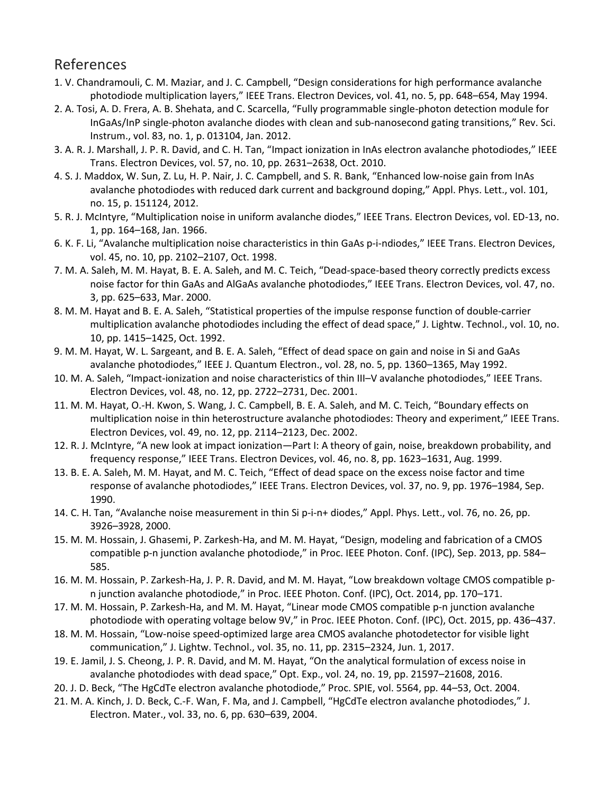## References

- 1. V. Chandramouli, C. M. Maziar, and J. C. Campbell, "Design considerations for high performance avalanche photodiode multiplication layers," IEEE Trans. Electron Devices, vol. 41, no. 5, pp. 648–654, May 1994.
- 2. A. Tosi, A. D. Frera, A. B. Shehata, and C. Scarcella, "Fully programmable single-photon detection module for InGaAs/InP single-photon avalanche diodes with clean and sub-nanosecond gating transitions," Rev. Sci. Instrum., vol. 83, no. 1, p. 013104, Jan. 2012.
- 3. A. R. J. Marshall, J. P. R. David, and C. H. Tan, "Impact ionization in InAs electron avalanche photodiodes," IEEE Trans. Electron Devices, vol. 57, no. 10, pp. 2631–2638, Oct. 2010.
- 4. S. J. Maddox, W. Sun, Z. Lu, H. P. Nair, J. C. Campbell, and S. R. Bank, "Enhanced low-noise gain from InAs avalanche photodiodes with reduced dark current and background doping," Appl. Phys. Lett., vol. 101, no. 15, p. 151124, 2012.
- 5. R. J. McIntyre, "Multiplication noise in uniform avalanche diodes," IEEE Trans. Electron Devices, vol. ED-13, no. 1, pp. 164–168, Jan. 1966.
- 6. K. F. Li, "Avalanche multiplication noise characteristics in thin GaAs p-i-ndiodes," IEEE Trans. Electron Devices, vol. 45, no. 10, pp. 2102–2107, Oct. 1998.
- 7. M. A. Saleh, M. M. Hayat, B. E. A. Saleh, and M. C. Teich, "Dead-space-based theory correctly predicts excess noise factor for thin GaAs and AlGaAs avalanche photodiodes," IEEE Trans. Electron Devices, vol. 47, no. 3, pp. 625–633, Mar. 2000.
- 8. M. M. Hayat and B. E. A. Saleh, "Statistical properties of the impulse response function of double-carrier multiplication avalanche photodiodes including the effect of dead space," J. Lightw. Technol., vol. 10, no. 10, pp. 1415–1425, Oct. 1992.
- 9. M. M. Hayat, W. L. Sargeant, and B. E. A. Saleh, "Effect of dead space on gain and noise in Si and GaAs avalanche photodiodes," IEEE J. Quantum Electron., vol. 28, no. 5, pp. 1360–1365, May 1992.
- 10. M. A. Saleh, "Impact-ionization and noise characteristics of thin III–V avalanche photodiodes," IEEE Trans. Electron Devices, vol. 48, no. 12, pp. 2722–2731, Dec. 2001.
- 11. M. M. Hayat, O.-H. Kwon, S. Wang, J. C. Campbell, B. E. A. Saleh, and M. C. Teich, "Boundary effects on multiplication noise in thin heterostructure avalanche photodiodes: Theory and experiment," IEEE Trans. Electron Devices, vol. 49, no. 12, pp. 2114–2123, Dec. 2002.
- 12. R. J. McIntyre, "A new look at impact ionization—Part I: A theory of gain, noise, breakdown probability, and frequency response," IEEE Trans. Electron Devices, vol. 46, no. 8, pp. 1623–1631, Aug. 1999.
- 13. B. E. A. Saleh, M. M. Hayat, and M. C. Teich, "Effect of dead space on the excess noise factor and time response of avalanche photodiodes," IEEE Trans. Electron Devices, vol. 37, no. 9, pp. 1976–1984, Sep. 1990.
- 14. C. H. Tan, "Avalanche noise measurement in thin Si p-i-n+ diodes," Appl. Phys. Lett., vol. 76, no. 26, pp. 3926–3928, 2000.
- 15. M. M. Hossain, J. Ghasemi, P. Zarkesh-Ha, and M. M. Hayat, "Design, modeling and fabrication of a CMOS compatible p-n junction avalanche photodiode," in Proc. IEEE Photon. Conf. (IPC), Sep. 2013, pp. 584– 585.
- 16. M. M. Hossain, P. Zarkesh-Ha, J. P. R. David, and M. M. Hayat, "Low breakdown voltage CMOS compatible pn junction avalanche photodiode," in Proc. IEEE Photon. Conf. (IPC), Oct. 2014, pp. 170–171.
- 17. M. M. Hossain, P. Zarkesh-Ha, and M. M. Hayat, "Linear mode CMOS compatible p-n junction avalanche photodiode with operating voltage below 9V," in Proc. IEEE Photon. Conf. (IPC), Oct. 2015, pp. 436–437.
- 18. M. M. Hossain, "Low-noise speed-optimized large area CMOS avalanche photodetector for visible light communication," J. Lightw. Technol., vol. 35, no. 11, pp. 2315–2324, Jun. 1, 2017.
- 19. E. Jamil, J. S. Cheong, J. P. R. David, and M. M. Hayat, "On the analytical formulation of excess noise in avalanche photodiodes with dead space," Opt. Exp., vol. 24, no. 19, pp. 21597–21608, 2016.
- 20. J. D. Beck, "The HgCdTe electron avalanche photodiode," Proc. SPIE, vol. 5564, pp. 44–53, Oct. 2004.
- 21. M. A. Kinch, J. D. Beck, C.-F. Wan, F. Ma, and J. Campbell, "HgCdTe electron avalanche photodiodes," J. Electron. Mater., vol. 33, no. 6, pp. 630–639, 2004.